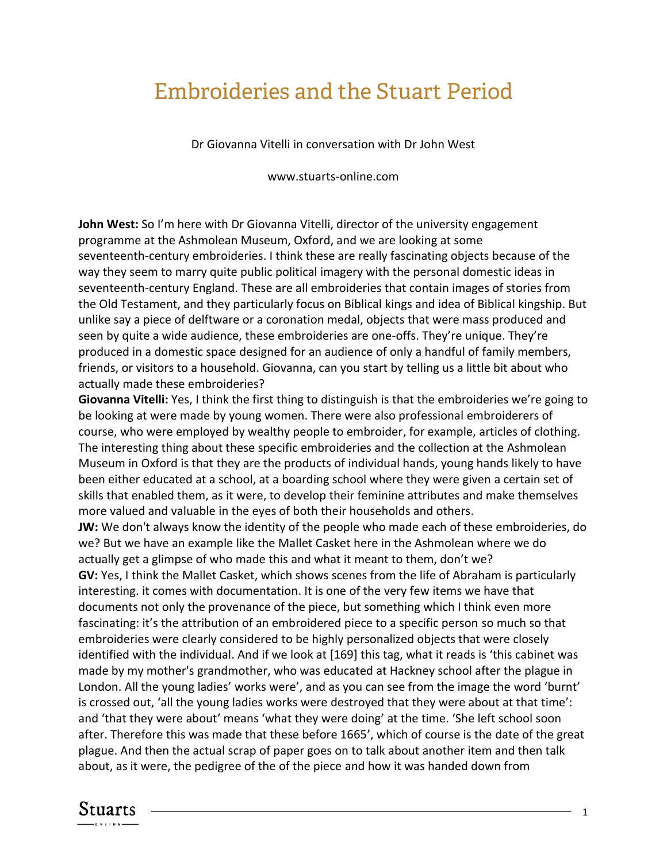## Embroideries and the Stuart Period

Dr Giovanna Vitelli in conversation with Dr John West

www.stuarts-online.com

**John West:** So I'm here with Dr Giovanna Vitelli, director of the university engagement programme at the Ashmolean Museum, Oxford, and we are looking at some seventeenth-century embroideries. I think these are really fascinating objects because of the way they seem to marry quite public political imagery with the personal domestic ideas in seventeenth-century England. These are all embroideries that contain images of stories from the Old Testament, and they particularly focus on Biblical kings and idea of Biblical kingship. But unlike say a piece of delftware or a coronation medal, objects that were mass produced and seen by quite a wide audience, these embroideries are one-offs. They're unique. They're produced in a domestic space designed for an audience of only a handful of family members, friends, or visitors to a household. Giovanna, can you start by telling us a little bit about who actually made these embroideries?

**Giovanna Vitelli:** Yes, I think the first thing to distinguish is that the embroideries we're going to be looking at were made by young women. There were also professional embroiderers of course, who were employed by wealthy people to embroider, for example, articles of clothing. The interesting thing about these specific embroideries and the collection at the Ashmolean Museum in Oxford is that they are the products of individual hands, young hands likely to have been either educated at a school, at a boarding school where they were given a certain set of skills that enabled them, as it were, to develop their feminine attributes and make themselves more valued and valuable in the eyes of both their households and others.

**JW:** We don't always know the identity of the people who made each of these embroideries, do we? But we have an example like the Mallet Casket here in the Ashmolean where we do actually get a glimpse of who made this and what it meant to them, don't we?

**GV:** Yes, I think the Mallet Casket, which shows scenes from the life of Abraham is particularly interesting. it comes with documentation. It is one of the very few items we have that documents not only the provenance of the piece, but something which I think even more fascinating: it's the attribution of an embroidered piece to a specific person so much so that embroideries were clearly considered to be highly personalized objects that were closely identified with the individual. And if we look at [169] this tag, what it reads is 'this cabinet was made by my mother's grandmother, who was educated at Hackney school after the plague in London. All the young ladies' works were', and as you can see from the image the word 'burnt' is crossed out, 'all the young ladies works were destroyed that they were about at that time': and 'that they were about' means 'what they were doing' at the time. 'She left school soon after. Therefore this was made that these before 1665', which of course is the date of the great plague. And then the actual scrap of paper goes on to talk about another item and then talk about, as it were, the pedigree of the of the piece and how it was handed down from

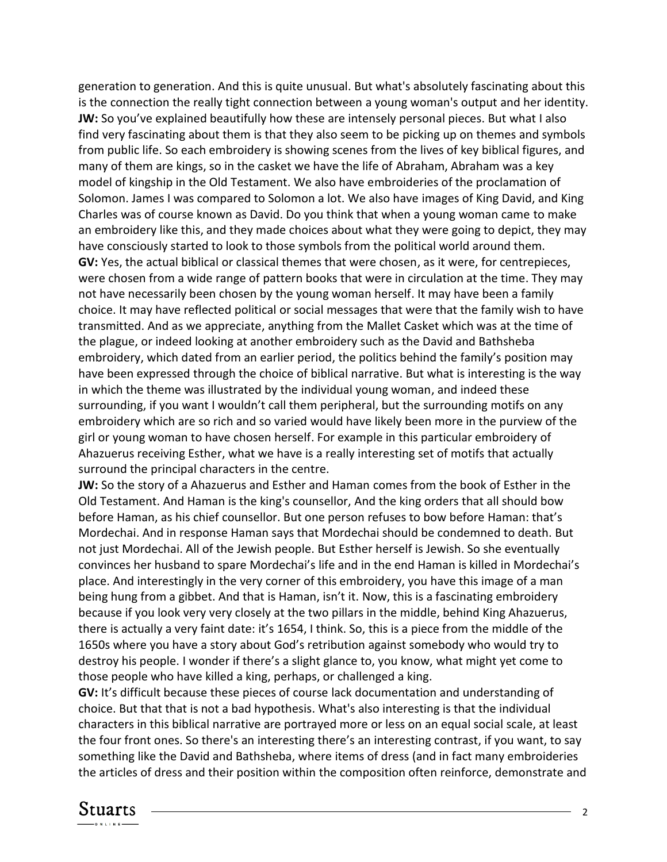generation to generation. And this is quite unusual. But what's absolutely fascinating about this is the connection the really tight connection between a young woman's output and her identity. **JW:** So you've explained beautifully how these are intensely personal pieces. But what I also find very fascinating about them is that they also seem to be picking up on themes and symbols from public life. So each embroidery is showing scenes from the lives of key biblical figures, and many of them are kings, so in the casket we have the life of Abraham, Abraham was a key model of kingship in the Old Testament. We also have embroideries of the proclamation of Solomon. James I was compared to Solomon a lot. We also have images of King David, and King Charles was of course known as David. Do you think that when a young woman came to make an embroidery like this, and they made choices about what they were going to depict, they may have consciously started to look to those symbols from the political world around them. **GV:** Yes, the actual biblical or classical themes that were chosen, as it were, for centrepieces, were chosen from a wide range of pattern books that were in circulation at the time. They may not have necessarily been chosen by the young woman herself. It may have been a family choice. It may have reflected political or social messages that were that the family wish to have transmitted. And as we appreciate, anything from the Mallet Casket which was at the time of the plague, or indeed looking at another embroidery such as the David and Bathsheba embroidery, which dated from an earlier period, the politics behind the family's position may have been expressed through the choice of biblical narrative. But what is interesting is the way in which the theme was illustrated by the individual young woman, and indeed these surrounding, if you want I wouldn't call them peripheral, but the surrounding motifs on any embroidery which are so rich and so varied would have likely been more in the purview of the girl or young woman to have chosen herself. For example in this particular embroidery of Ahazuerus receiving Esther, what we have is a really interesting set of motifs that actually surround the principal characters in the centre.

**JW:** So the story of a Ahazuerus and Esther and Haman comes from the book of Esther in the Old Testament. And Haman is the king's counsellor, And the king orders that all should bow before Haman, as his chief counsellor. But one person refuses to bow before Haman: that's Mordechai. And in response Haman says that Mordechai should be condemned to death. But not just Mordechai. All of the Jewish people. But Esther herself is Jewish. So she eventually convinces her husband to spare Mordechai's life and in the end Haman is killed in Mordechai's place. And interestingly in the very corner of this embroidery, you have this image of a man being hung from a gibbet. And that is Haman, isn't it. Now, this is a fascinating embroidery because if you look very very closely at the two pillars in the middle, behind King Ahazuerus, there is actually a very faint date: it's 1654, I think. So, this is a piece from the middle of the 1650s where you have a story about God's retribution against somebody who would try to destroy his people. I wonder if there's a slight glance to, you know, what might yet come to those people who have killed a king, perhaps, or challenged a king.

**GV:** It's difficult because these pieces of course lack documentation and understanding of choice. But that that is not a bad hypothesis. What's also interesting is that the individual characters in this biblical narrative are portrayed more or less on an equal social scale, at least the four front ones. So there's an interesting there's an interesting contrast, if you want, to say something like the David and Bathsheba, where items of dress (and in fact many embroideries the articles of dress and their position within the composition often reinforce, demonstrate and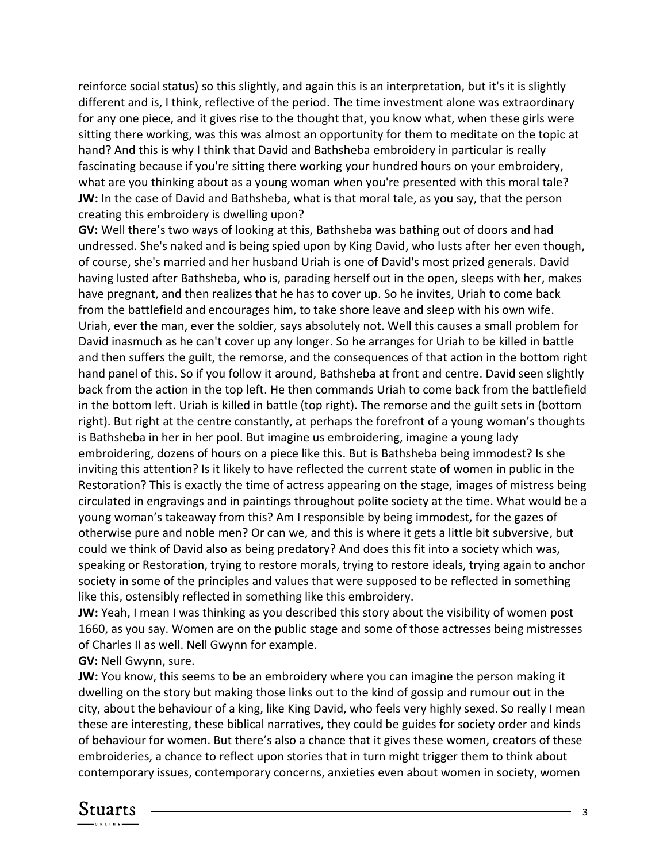reinforce social status) so this slightly, and again this is an interpretation, but it's it is slightly different and is, I think, reflective of the period. The time investment alone was extraordinary for any one piece, and it gives rise to the thought that, you know what, when these girls were sitting there working, was this was almost an opportunity for them to meditate on the topic at hand? And this is why I think that David and Bathsheba embroidery in particular is really fascinating because if you're sitting there working your hundred hours on your embroidery, what are you thinking about as a young woman when you're presented with this moral tale? **JW:** In the case of David and Bathsheba, what is that moral tale, as you say, that the person creating this embroidery is dwelling upon?

**GV:** Well there's two ways of looking at this, Bathsheba was bathing out of doors and had undressed. She's naked and is being spied upon by King David, who lusts after her even though, of course, she's married and her husband Uriah is one of David's most prized generals. David having lusted after Bathsheba, who is, parading herself out in the open, sleeps with her, makes have pregnant, and then realizes that he has to cover up. So he invites, Uriah to come back from the battlefield and encourages him, to take shore leave and sleep with his own wife. Uriah, ever the man, ever the soldier, says absolutely not. Well this causes a small problem for David inasmuch as he can't cover up any longer. So he arranges for Uriah to be killed in battle and then suffers the guilt, the remorse, and the consequences of that action in the bottom right hand panel of this. So if you follow it around, Bathsheba at front and centre. David seen slightly back from the action in the top left. He then commands Uriah to come back from the battlefield in the bottom left. Uriah is killed in battle (top right). The remorse and the guilt sets in (bottom right). But right at the centre constantly, at perhaps the forefront of a young woman's thoughts is Bathsheba in her in her pool. But imagine us embroidering, imagine a young lady embroidering, dozens of hours on a piece like this. But is Bathsheba being immodest? Is she inviting this attention? Is it likely to have reflected the current state of women in public in the Restoration? This is exactly the time of actress appearing on the stage, images of mistress being circulated in engravings and in paintings throughout polite society at the time. What would be a young woman's takeaway from this? Am I responsible by being immodest, for the gazes of otherwise pure and noble men? Or can we, and this is where it gets a little bit subversive, but could we think of David also as being predatory? And does this fit into a society which was, speaking or Restoration, trying to restore morals, trying to restore ideals, trying again to anchor society in some of the principles and values that were supposed to be reflected in something like this, ostensibly reflected in something like this embroidery.

**JW:** Yeah, I mean I was thinking as you described this story about the visibility of women post 1660, as you say. Women are on the public stage and some of those actresses being mistresses of Charles II as well. Nell Gwynn for example.

**GV:** Nell Gwynn, sure.

**JW:** You know, this seems to be an embroidery where you can imagine the person making it dwelling on the story but making those links out to the kind of gossip and rumour out in the city, about the behaviour of a king, like King David, who feels very highly sexed. So really I mean these are interesting, these biblical narratives, they could be guides for society order and kinds of behaviour for women. But there's also a chance that it gives these women, creators of these embroideries, a chance to reflect upon stories that in turn might trigger them to think about contemporary issues, contemporary concerns, anxieties even about women in society, women